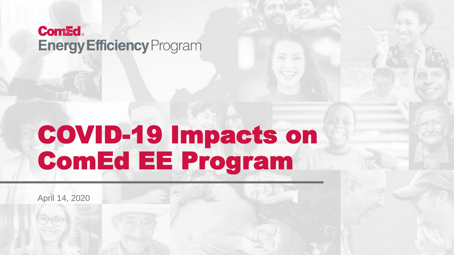#### **Com&d Energy Efficiency Program**

# COVID-19 Impacts on ComEd EE Program

April 14, 2020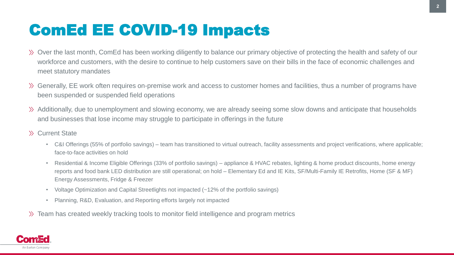### ComEd EE COVID-19 Impacts

- Over the last month, ComEd has been working diligently to balance our primary objective of protecting the health and safety of our workforce and customers, with the desire to continue to help customers save on their bills in the face of economic challenges and meet statutory mandates
- Generally, EE work often requires on-premise work and access to customer homes and facilities, thus a number of programs have been suspended or suspended field operations
- Additionally, due to unemployment and slowing economy, we are already seeing some slow downs and anticipate that households and businesses that lose income may struggle to participate in offerings in the future
- Current State
	- C&I Offerings (55% of portfolio savings) team has transitioned to virtual outreach, facility assessments and project verifications, where applicable; face-to-face activities on hold
	- Residential & Income Eligible Offerings (33% of portfolio savings) appliance & HVAC rebates, lighting & home product discounts, home energy reports and food bank LED distribution are still operational; on hold – Elementary Ed and IE Kits, SF/Multi-Family IE Retrofits, Home (SF & MF) Energy Assessments, Fridge & Freezer
	- Voltage Optimization and Capital Streetlights not impacted (~12% of the portfolio savings)
	- Planning, R&D, Evaluation, and Reporting efforts largely not impacted
- Team has created weekly tracking tools to monitor field intelligence and program metrics

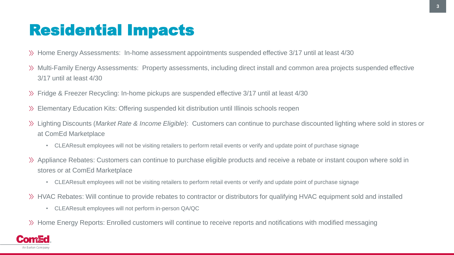#### Residential Impacts

- Home Energy Assessments: In-home assessment appointments suspended effective 3/17 until at least 4/30
- Multi-Family Energy Assessments: Property assessments, including direct install and common area projects suspended effective 3/17 until at least 4/30
- Fridge & Freezer Recycling: In-home pickups are suspended effective 3/17 until at least 4/30
- Elementary Education Kits: Offering suspended kit distribution until Illinois schools reopen
- Lighting Discounts (*Market Rate & Income Eligible*): Customers can continue to purchase discounted lighting where sold in stores or at ComEd Marketplace
	- CLEAResult employees will not be visiting retailers to perform retail events or verify and update point of purchase signage
- Appliance Rebates: Customers can continue to purchase eligible products and receive a rebate or instant coupon where sold in stores or at ComEd Marketplace
	- CLEAResult employees will not be visiting retailers to perform retail events or verify and update point of purchase signage
- HVAC Rebates: Will continue to provide rebates to contractor or distributors for qualifying HVAC equipment sold and installed
	- CLEAResult employees will not perform in-person QA/QC
- Home Energy Reports: Enrolled customers will continue to receive reports and notifications with modified messaging

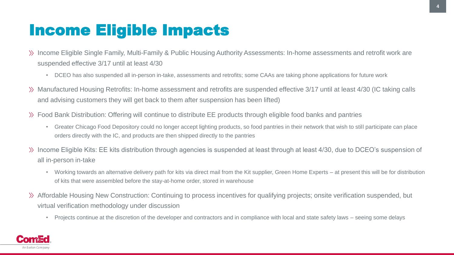#### Income Eligible Impacts

- $\gg$  Income Eligible Single Family, Multi-Family & Public Housing Authority Assessments: In-home assessments and retrofit work are suspended effective 3/17 until at least 4/30
	- DCEO has also suspended all in-person in-take, assessments and retrofits; some CAAs are taking phone applications for future work
- Manufactured Housing Retrofits: In-home assessment and retrofits are suspended effective 3/17 until at least 4/30 (IC taking calls and advising customers they will get back to them after suspension has been lifted)
- Food Bank Distribution: Offering will continue to distribute EE products through eligible food banks and pantries
	- Greater Chicago Food Depository could no longer accept lighting products, so food pantries in their network that wish to still participate can place orders directly with the IC, and products are then shipped directly to the pantries
- Income Eligible Kits: EE kits distribution through agencies is suspended at least through at least 4/30, due to DCEO's suspension of all in-person in-take
	- Working towards an alternative delivery path for kits via direct mail from the Kit supplier, Green Home Experts at present this will be for distribution of kits that were assembled before the stay-at-home order, stored in warehouse
- Affordable Housing New Construction: Continuing to process incentives for qualifying projects; onsite verification suspended, but virtual verification methodology under discussion
	- Projects continue at the discretion of the developer and contractors and in compliance with local and state safety laws seeing some delays

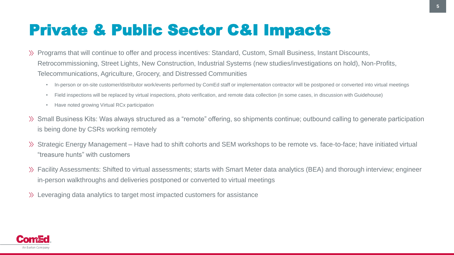### Private & Public Sector C&I Impacts

- Programs that will continue to offer and process incentives: Standard, Custom, Small Business, Instant Discounts, Retrocommissioning, Street Lights, New Construction, Industrial Systems (new studies/investigations on hold), Non-Profits, Telecommunications, Agriculture, Grocery, and Distressed Communities
	- In-person or on-site customer/distributor work/events performed by ComEd staff or implementation contractor will be postponed or converted into virtual meetings
	- Field inspections will be replaced by virtual inspections, photo verification, and remote data collection (in some cases, in discussion with Guidehouse)
	- Have noted growing Virtual RCx participation
- Small Business Kits: Was always structured as a "remote" offering, so shipments continue; outbound calling to generate participation is being done by CSRs working remotely
- Strategic Energy Management Have had to shift cohorts and SEM workshops to be remote vs. face-to-face; have initiated virtual "treasure hunts" with customers
- Facility Assessments: Shifted to virtual assessments; starts with Smart Meter data analytics (BEA) and thorough interview; engineer in-person walkthroughs and deliveries postponed or converted to virtual meetings
- Leveraging data analytics to target most impacted customers for assistance

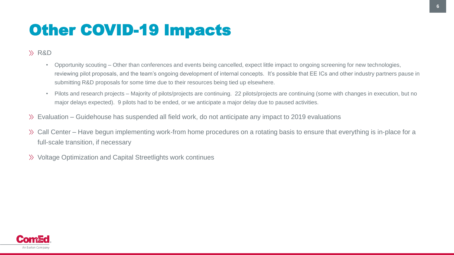## Other COVID-19 Impacts

#### R&D

- Opportunity scouting Other than conferences and events being cancelled, expect little impact to ongoing screening for new technologies, reviewing pilot proposals, and the team's ongoing development of internal concepts. It's possible that EE ICs and other industry partners pause in submitting R&D proposals for some time due to their resources being tied up elsewhere.
- Pilots and research projects Majority of pilots/projects are continuing. 22 pilots/projects are continuing (some with changes in execution, but no major delays expected). 9 pilots had to be ended, or we anticipate a major delay due to paused activities.
- Evaluation Guidehouse has suspended all field work, do not anticipate any impact to 2019 evaluations
- Call Center Have begun implementing work‐from home procedures on a rotating basis to ensure that everything is in‐place for a full-scale transition, if necessary
- Voltage Optimization and Capital Streetlights work continues